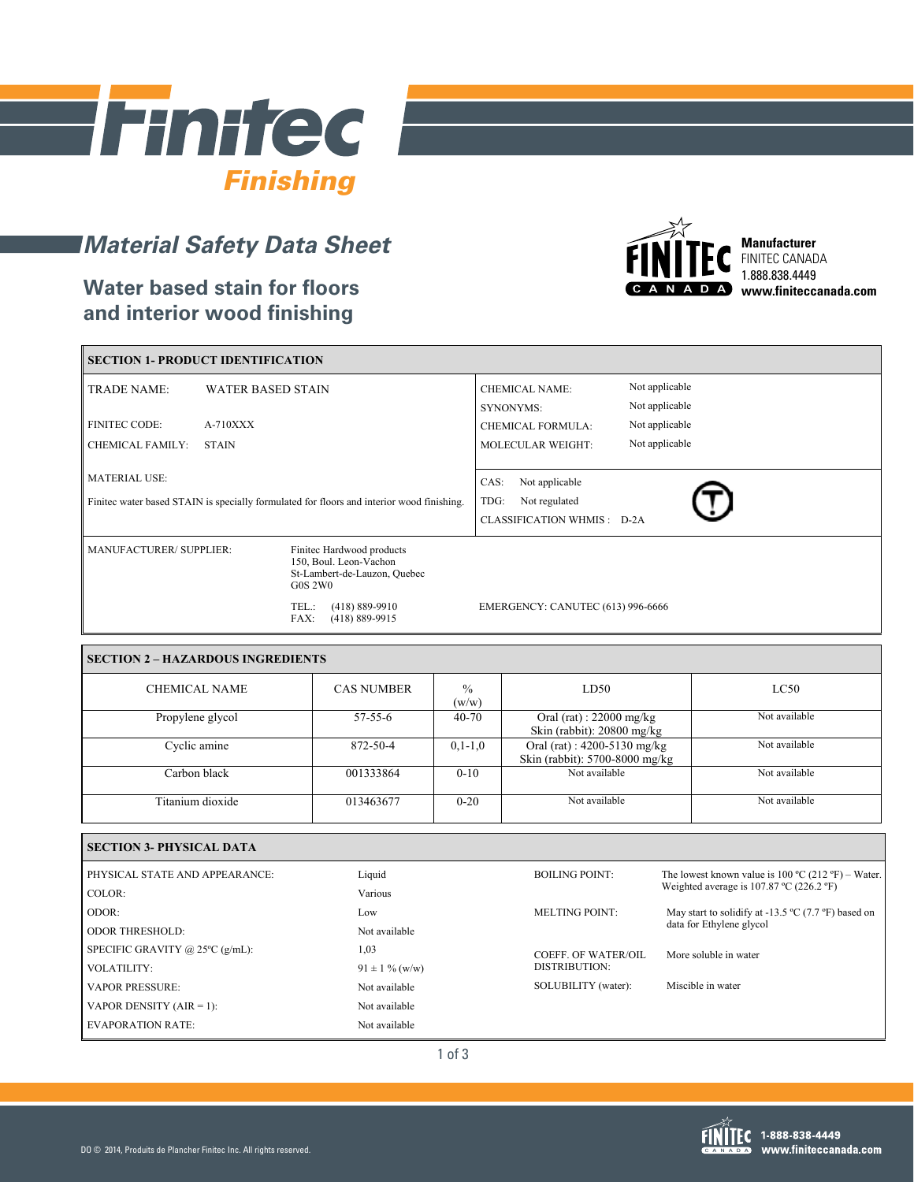

# *Material Safety Data Sheet*

### **Water based stain for floors and interior wood finishing**



**Manufacturer** FINITEC CANADA 1.888.838.4449 **www.finiteccanada.com**

| SECTION 1- PRODUCT IDENTIFICATION                                                                                 |                          |                                                                                                       |                                                                               |  |
|-------------------------------------------------------------------------------------------------------------------|--------------------------|-------------------------------------------------------------------------------------------------------|-------------------------------------------------------------------------------|--|
| <b>TRADE NAME:</b>                                                                                                | <b>WATER BASED STAIN</b> |                                                                                                       | Not applicable<br><b>CHEMICAL NAME:</b><br>Not applicable<br><b>SYNONYMS:</b> |  |
| <b>FINITEC CODE:</b>                                                                                              | $A-710XXX$               |                                                                                                       | Not applicable<br><b>CHEMICAL FORMULA:</b>                                    |  |
| <b>CHEMICAL FAMILY:</b><br><b>STAIN</b>                                                                           |                          |                                                                                                       | Not applicable<br><b>MOLECULAR WEIGHT:</b>                                    |  |
| <b>MATERIAL USE:</b><br>Finited water based STAIN is specially formulated for floors and interior wood finishing. |                          |                                                                                                       | Not applicable<br>CAS:<br>TDG:<br>Not regulated<br>CLASSIFICATION WHMIS: D-2A |  |
| MANUFACTURER/ SUPPLIER:                                                                                           |                          | Finitec Hardwood products<br>150, Boul. Leon-Vachon<br>St-Lambert-de-Lauzon, Quebec<br><b>G0S 2W0</b> |                                                                               |  |
|                                                                                                                   |                          | $(418) 889 - 9910$<br>TEL.:<br>$(418) 889 - 9915$<br>FAX:                                             | EMERGENCY: CANUTEC (613) 996-6666                                             |  |

#### **SECTION 2 – HAZARDOUS INGREDIENTS**

| <b>CHEMICAL NAME</b> | <b>CAS NUMBER</b> | $\frac{0}{0}$<br>(w/w) | LD50                                                               | LC50          |
|----------------------|-------------------|------------------------|--------------------------------------------------------------------|---------------|
| Propylene glycol     | $57 - 55 - 6$     | $40 - 70$              | Oral (rat) : $22000$ mg/kg<br>Skin (rabbit): $20800$ mg/kg         | Not available |
| Cyclic amine         | 872-50-4          | $0, 1 - 1, 0$          | Oral (rat) : $4200 - 5130$ mg/kg<br>Skin (rabbit): 5700-8000 mg/kg | Not available |
| Carbon black         | 001333864         | $0 - 10$               | Not available                                                      | Not available |
| Titanium dioxide     | 013463677         | $0 - 20$               | Not available                                                      | Not available |

| <b>SECTION 3- PHYSICAL DATA</b>           |                     |                                                              |                                                                         |  |
|-------------------------------------------|---------------------|--------------------------------------------------------------|-------------------------------------------------------------------------|--|
| PHYSICAL STATE AND APPEARANCE:            | Liquid              | <b>BOILING POINT:</b>                                        | The lowest known value is $100 \degree C$ (212 °F) – Water.             |  |
| COLOR:                                    | Various             | Weighted average is $107.87 \text{ °C}$ (226.2 $\text{°F}$ ) |                                                                         |  |
| ODOR:                                     | Low                 | MELTING POINT:                                               | May start to solidify at -13.5 $^{\circ}$ C (7.7 $^{\circ}$ F) based on |  |
| <b>ODOR THRESHOLD:</b>                    | Not available       | data for Ethylene glycol                                     |                                                                         |  |
| SPECIFIC GRAVITY @ $25^{\circ}$ C (g/mL): | 1,03                | COEFF. OF WATER/OIL                                          | More soluble in water                                                   |  |
| <b>VOLATILITY:</b>                        | $91 \pm 1 \%$ (w/w) | DISTRIBUTION:                                                |                                                                         |  |
| <b>VAPOR PRESSURE:</b>                    | Not available       | SOLUBILITY (water):                                          | Miscible in water                                                       |  |
| VAPOR DENSITY $(AIR = 1)$ :               | Not available       |                                                              |                                                                         |  |
| <b>EVAPORATION RATE:</b>                  | Not available       |                                                              |                                                                         |  |

1 of 3



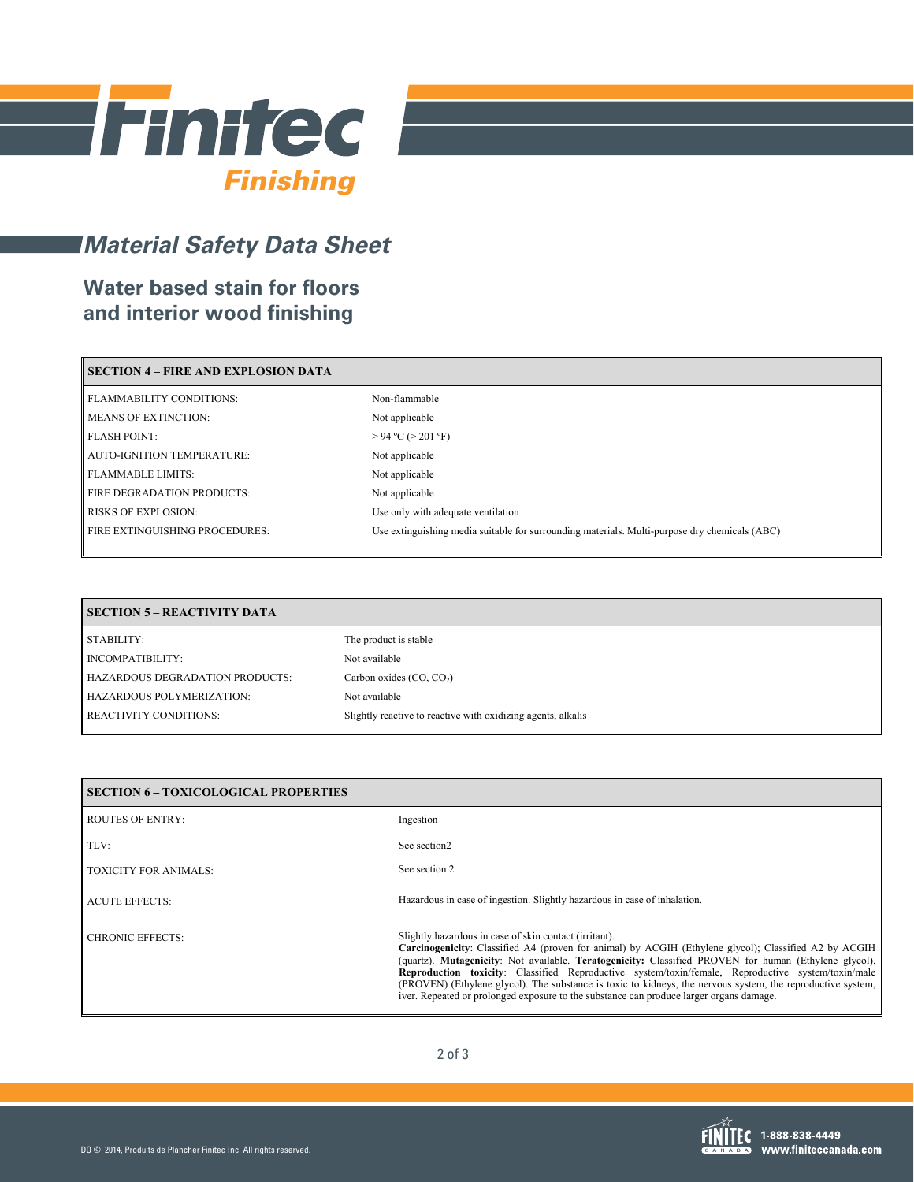

## *Material Safety Data Sheet*

## **Water based stain for floors and interior wood finishing**

| <b>SECTION 4 – FIRE AND EXPLOSION DATA</b> |                                                                                               |  |  |
|--------------------------------------------|-----------------------------------------------------------------------------------------------|--|--|
| <b>FLAMMABILITY CONDITIONS:</b>            | Non-flammable                                                                                 |  |  |
| <b>MEANS OF EXTINCTION:</b>                | Not applicable                                                                                |  |  |
| <b>FLASH POINT:</b>                        | $> 94$ °C ( $> 201$ °F)                                                                       |  |  |
| <b>AUTO-IGNITION TEMPERATURE:</b>          | Not applicable                                                                                |  |  |
| <b>FLAMMABLE LIMITS:</b>                   | Not applicable                                                                                |  |  |
| FIRE DEGRADATION PRODUCTS:                 | Not applicable                                                                                |  |  |
| <b>RISKS OF EXPLOSION:</b>                 | Use only with adequate ventilation                                                            |  |  |
| <b>FIRE EXTINGUISHING PROCEDURES:</b>      | Use extinguishing media suitable for surrounding materials. Multi-purpose dry chemicals (ABC) |  |  |
|                                            |                                                                                               |  |  |

| <b>SECTION 5 - REACTIVITY DATA</b> |                                                              |  |
|------------------------------------|--------------------------------------------------------------|--|
| STABILITY:                         | The product is stable                                        |  |
| INCOMPATIBILITY:                   | Not available                                                |  |
| HAZARDOUS DEGRADATION PRODUCTS:    | Carbon oxides $(CO, CO2)$                                    |  |
| HAZARDOUS POLYMERIZATION:          | Not available                                                |  |
| <b>REACTIVITY CONDITIONS:</b>      | Slightly reactive to reactive with oxidizing agents, alkalis |  |

| SECTION 6 – TOXICOLOGICAL PROPERTIES |                                                                                                                                                                                                                                                                                                                                                                                                                                                                                                                                                                                                  |  |  |
|--------------------------------------|--------------------------------------------------------------------------------------------------------------------------------------------------------------------------------------------------------------------------------------------------------------------------------------------------------------------------------------------------------------------------------------------------------------------------------------------------------------------------------------------------------------------------------------------------------------------------------------------------|--|--|
| ROUTES OF ENTRY:                     | Ingestion                                                                                                                                                                                                                                                                                                                                                                                                                                                                                                                                                                                        |  |  |
| TLV:                                 | See section <sub>2</sub>                                                                                                                                                                                                                                                                                                                                                                                                                                                                                                                                                                         |  |  |
| <b>TOXICITY FOR ANIMALS:</b>         | See section 2                                                                                                                                                                                                                                                                                                                                                                                                                                                                                                                                                                                    |  |  |
| <b>ACUTE EFFECTS:</b>                | Hazardous in case of ingestion. Slightly hazardous in case of inhalation.                                                                                                                                                                                                                                                                                                                                                                                                                                                                                                                        |  |  |
| CHRONIC EFFECTS:                     | Slightly hazardous in case of skin contact (irritant).<br><b>Carcinogenicity</b> : Classified A4 (proven for animal) by ACGIH (Ethylene glycol); Classified A2 by ACGIH<br>(quartz). Mutagenicity: Not available. Teratogenicity: Classified PROVEN for human (Ethylene glycol).<br>Reproduction toxicity: Classified Reproductive system/toxin/female, Reproductive system/toxin/male<br>(PROVEN) (Ethylene glycol). The substance is toxic to kidneys, the nervous system, the reproductive system,<br>iver. Repeated or prolonged exposure to the substance can produce larger organs damage. |  |  |

2 of 3